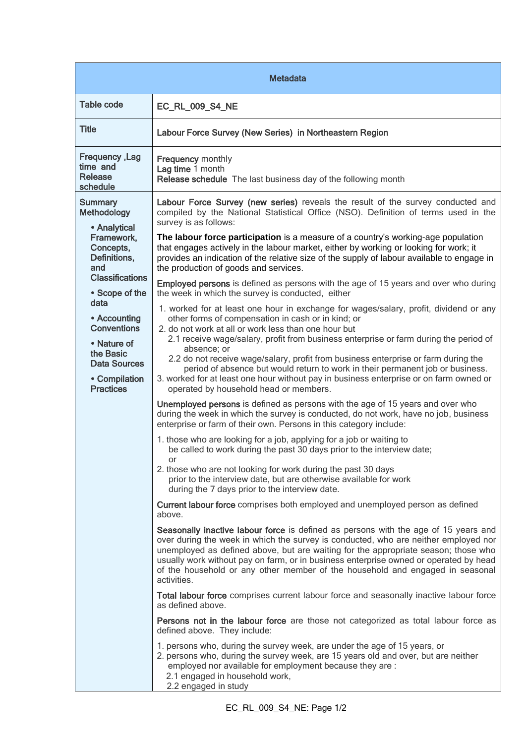| <b>Metadata</b>                                                                                                                                                                                                                                                            |                                                                                                                                                                                                                                                                                                                                                                                                                                                           |  |
|----------------------------------------------------------------------------------------------------------------------------------------------------------------------------------------------------------------------------------------------------------------------------|-----------------------------------------------------------------------------------------------------------------------------------------------------------------------------------------------------------------------------------------------------------------------------------------------------------------------------------------------------------------------------------------------------------------------------------------------------------|--|
| <b>Table code</b>                                                                                                                                                                                                                                                          | EC_RL_009_S4_NE                                                                                                                                                                                                                                                                                                                                                                                                                                           |  |
| <b>Title</b>                                                                                                                                                                                                                                                               | Labour Force Survey (New Series) in Northeastern Region                                                                                                                                                                                                                                                                                                                                                                                                   |  |
| Frequency, Lag<br>time and<br>Release<br>schedule                                                                                                                                                                                                                          | <b>Frequency monthly</b><br>Lag time 1 month<br>Release schedule The last business day of the following month                                                                                                                                                                                                                                                                                                                                             |  |
| <b>Summary</b><br>Methodology<br>• Analytical<br>Framework,<br>Concepts,<br>Definitions,<br>and<br><b>Classifications</b><br>• Scope of the<br>data<br>• Accounting<br><b>Conventions</b><br>• Nature of<br>the Basic<br>Data Sources<br>• Compilation<br><b>Practices</b> | Labour Force Survey (new series) reveals the result of the survey conducted and<br>compiled by the National Statistical Office (NSO). Definition of terms used in the<br>survey is as follows:                                                                                                                                                                                                                                                            |  |
|                                                                                                                                                                                                                                                                            | The labour force participation is a measure of a country's working-age population<br>that engages actively in the labour market, either by working or looking for work; it<br>provides an indication of the relative size of the supply of labour available to engage in<br>the production of goods and services.                                                                                                                                         |  |
|                                                                                                                                                                                                                                                                            | <b>Employed persons</b> is defined as persons with the age of 15 years and over who during<br>the week in which the survey is conducted, either                                                                                                                                                                                                                                                                                                           |  |
|                                                                                                                                                                                                                                                                            | 1. worked for at least one hour in exchange for wages/salary, profit, dividend or any<br>other forms of compensation in cash or in kind; or<br>2. do not work at all or work less than one hour but<br>2.1 receive wage/salary, profit from business enterprise or farm during the period of                                                                                                                                                              |  |
|                                                                                                                                                                                                                                                                            | absence; or<br>2.2 do not receive wage/salary, profit from business enterprise or farm during the<br>period of absence but would return to work in their permanent job or business.<br>3. worked for at least one hour without pay in business enterprise or on farm owned or<br>operated by household head or members.                                                                                                                                   |  |
|                                                                                                                                                                                                                                                                            | Unemployed persons is defined as persons with the age of 15 years and over who<br>during the week in which the survey is conducted, do not work, have no job, business<br>enterprise or farm of their own. Persons in this category include:                                                                                                                                                                                                              |  |
|                                                                                                                                                                                                                                                                            | 1. those who are looking for a job, applying for a job or waiting to<br>be called to work during the past 30 days prior to the interview date;                                                                                                                                                                                                                                                                                                            |  |
|                                                                                                                                                                                                                                                                            | or<br>2. those who are not looking for work during the past 30 days<br>prior to the interview date, but are otherwise available for work<br>during the 7 days prior to the interview date.                                                                                                                                                                                                                                                                |  |
|                                                                                                                                                                                                                                                                            | Current labour force comprises both employed and unemployed person as defined<br>above.                                                                                                                                                                                                                                                                                                                                                                   |  |
|                                                                                                                                                                                                                                                                            | Seasonally inactive labour force is defined as persons with the age of 15 years and<br>over during the week in which the survey is conducted, who are neither employed nor<br>unemployed as defined above, but are waiting for the appropriate season; those who<br>usually work without pay on farm, or in business enterprise owned or operated by head<br>of the household or any other member of the household and engaged in seasonal<br>activities. |  |
|                                                                                                                                                                                                                                                                            | Total labour force comprises current labour force and seasonally inactive labour force<br>as defined above.                                                                                                                                                                                                                                                                                                                                               |  |
|                                                                                                                                                                                                                                                                            | Persons not in the labour force are those not categorized as total labour force as<br>defined above. They include:                                                                                                                                                                                                                                                                                                                                        |  |
|                                                                                                                                                                                                                                                                            | 1. persons who, during the survey week, are under the age of 15 years, or<br>2. persons who, during the survey week, are 15 years old and over, but are neither<br>employed nor available for employment because they are :<br>2.1 engaged in household work,<br>2.2 engaged in study                                                                                                                                                                     |  |